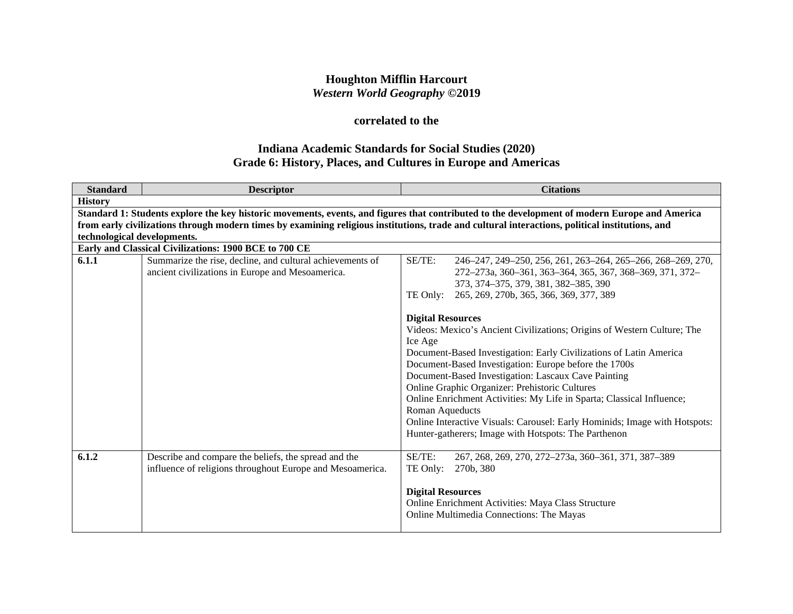## **Houghton Mifflin Harcourt** *Western World Geography* **©2019**

# **correlated to the**

## **Indiana Academic Standards for Social Studies (2020) Grade 6: History, Places, and Cultures in Europe and Americas**

| <b>Standard</b>             | <b>Descriptor</b>                                                                                             | <b>Citations</b>                                                                                                                                |
|-----------------------------|---------------------------------------------------------------------------------------------------------------|-------------------------------------------------------------------------------------------------------------------------------------------------|
| <b>History</b>              |                                                                                                               |                                                                                                                                                 |
|                             |                                                                                                               | Standard 1: Students explore the key historic movements, events, and figures that contributed to the development of modern Europe and America   |
|                             |                                                                                                               | from early civilizations through modern times by examining religious institutions, trade and cultural interactions, political institutions, and |
| technological developments. |                                                                                                               |                                                                                                                                                 |
|                             | Early and Classical Civilizations: 1900 BCE to 700 CE                                                         |                                                                                                                                                 |
| 6.1.1                       | Summarize the rise, decline, and cultural achievements of<br>ancient civilizations in Europe and Mesoamerica. | SE/TE:<br>246-247, 249-250, 256, 261, 263-264, 265-266, 268-269, 270,<br>272-273a, 360-361, 363-364, 365, 367, 368-369, 371, 372-               |
|                             |                                                                                                               | 373, 374-375, 379, 381, 382-385, 390                                                                                                            |
|                             |                                                                                                               | 265, 269, 270b, 365, 366, 369, 377, 389<br>TE Only:                                                                                             |
|                             |                                                                                                               |                                                                                                                                                 |
|                             |                                                                                                               | <b>Digital Resources</b>                                                                                                                        |
|                             |                                                                                                               | Videos: Mexico's Ancient Civilizations; Origins of Western Culture; The                                                                         |
|                             |                                                                                                               | Ice Age                                                                                                                                         |
|                             |                                                                                                               | Document-Based Investigation: Early Civilizations of Latin America                                                                              |
|                             |                                                                                                               | Document-Based Investigation: Europe before the 1700s                                                                                           |
|                             |                                                                                                               | Document-Based Investigation: Lascaux Cave Painting                                                                                             |
|                             |                                                                                                               | Online Graphic Organizer: Prehistoric Cultures                                                                                                  |
|                             |                                                                                                               | Online Enrichment Activities: My Life in Sparta; Classical Influence;                                                                           |
|                             |                                                                                                               | Roman Aqueducts                                                                                                                                 |
|                             |                                                                                                               | Online Interactive Visuals: Carousel: Early Hominids; Image with Hotspots:                                                                      |
|                             |                                                                                                               | Hunter-gatherers; Image with Hotspots: The Parthenon                                                                                            |
|                             |                                                                                                               |                                                                                                                                                 |
| 6.1.2                       | Describe and compare the beliefs, the spread and the                                                          | SE/TE:<br>267, 268, 269, 270, 272-273a, 360-361, 371, 387-389                                                                                   |
|                             | influence of religions throughout Europe and Mesoamerica.                                                     | TE Only:<br>270b, 380                                                                                                                           |
|                             |                                                                                                               |                                                                                                                                                 |
|                             |                                                                                                               | <b>Digital Resources</b>                                                                                                                        |
|                             |                                                                                                               | Online Enrichment Activities: Maya Class Structure<br>Online Multimedia Connections: The Mayas                                                  |
|                             |                                                                                                               |                                                                                                                                                 |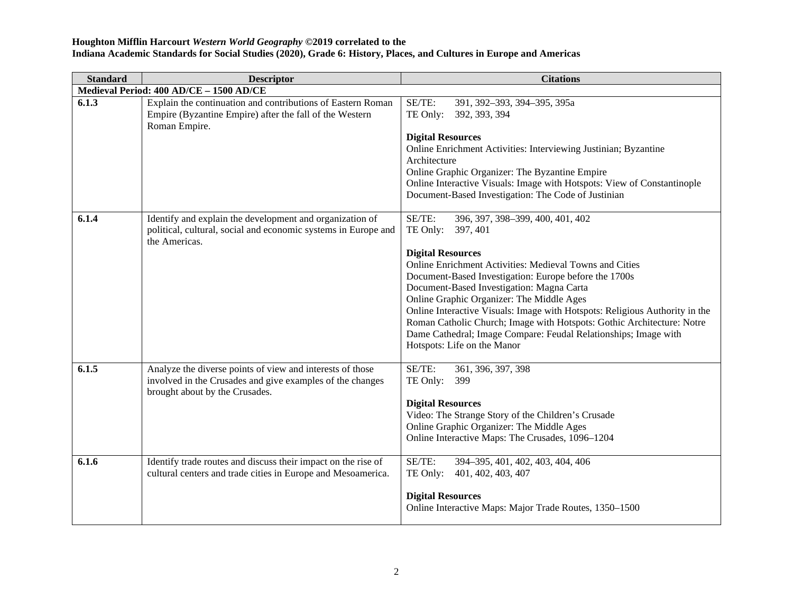| <b>Standard</b> | <b>Descriptor</b>                                                                                                                                        | <b>Citations</b>                                                                                                                                                                                                                                                                                                                                                                                                                                                                                                                                                        |
|-----------------|----------------------------------------------------------------------------------------------------------------------------------------------------------|-------------------------------------------------------------------------------------------------------------------------------------------------------------------------------------------------------------------------------------------------------------------------------------------------------------------------------------------------------------------------------------------------------------------------------------------------------------------------------------------------------------------------------------------------------------------------|
|                 | Medieval Period: 400 AD/CE - 1500 AD/CE                                                                                                                  |                                                                                                                                                                                                                                                                                                                                                                                                                                                                                                                                                                         |
| 6.1.3           | Explain the continuation and contributions of Eastern Roman<br>Empire (Byzantine Empire) after the fall of the Western<br>Roman Empire.                  | SE/TE:<br>391, 392-393, 394-395, 395a<br>TE Only:<br>392, 393, 394<br><b>Digital Resources</b><br>Online Enrichment Activities: Interviewing Justinian; Byzantine<br>Architecture<br>Online Graphic Organizer: The Byzantine Empire<br>Online Interactive Visuals: Image with Hotspots: View of Constantinople<br>Document-Based Investigation: The Code of Justinian                                                                                                                                                                                                   |
| 6.1.4           | Identify and explain the development and organization of<br>political, cultural, social and economic systems in Europe and<br>the Americas.              | SE/TE:<br>396, 397, 398-399, 400, 401, 402<br>TE Only:<br>397, 401<br><b>Digital Resources</b><br>Online Enrichment Activities: Medieval Towns and Cities<br>Document-Based Investigation: Europe before the 1700s<br>Document-Based Investigation: Magna Carta<br>Online Graphic Organizer: The Middle Ages<br>Online Interactive Visuals: Image with Hotspots: Religious Authority in the<br>Roman Catholic Church; Image with Hotspots: Gothic Architecture: Notre<br>Dame Cathedral; Image Compare: Feudal Relationships; Image with<br>Hotspots: Life on the Manor |
| 6.1.5           | Analyze the diverse points of view and interests of those<br>involved in the Crusades and give examples of the changes<br>brought about by the Crusades. | SE/TE:<br>361, 396, 397, 398<br>TE Only:<br>399<br><b>Digital Resources</b><br>Video: The Strange Story of the Children's Crusade<br>Online Graphic Organizer: The Middle Ages<br>Online Interactive Maps: The Crusades, 1096-1204                                                                                                                                                                                                                                                                                                                                      |
| 6.1.6           | Identify trade routes and discuss their impact on the rise of<br>cultural centers and trade cities in Europe and Mesoamerica.                            | SE/TE:<br>394-395, 401, 402, 403, 404, 406<br>401, 402, 403, 407<br>TE Only:<br><b>Digital Resources</b><br>Online Interactive Maps: Major Trade Routes, 1350-1500                                                                                                                                                                                                                                                                                                                                                                                                      |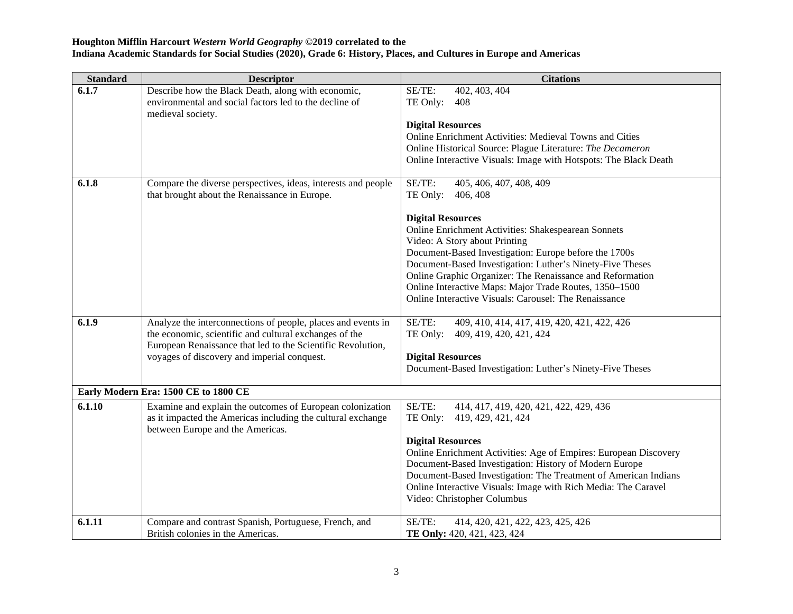| <b>Standard</b> | <b>Descriptor</b>                                                                                                                                                                                                                    | <b>Citations</b>                                                                                                                                                                                                                                                                                                                                                                                                       |
|-----------------|--------------------------------------------------------------------------------------------------------------------------------------------------------------------------------------------------------------------------------------|------------------------------------------------------------------------------------------------------------------------------------------------------------------------------------------------------------------------------------------------------------------------------------------------------------------------------------------------------------------------------------------------------------------------|
| 6.1.7           | Describe how the Black Death, along with economic,<br>environmental and social factors led to the decline of<br>medieval society.                                                                                                    | 402, 403, 404<br>SE/TE:<br>TE Only:<br>408<br><b>Digital Resources</b>                                                                                                                                                                                                                                                                                                                                                 |
|                 |                                                                                                                                                                                                                                      | <b>Online Enrichment Activities: Medieval Towns and Cities</b>                                                                                                                                                                                                                                                                                                                                                         |
|                 |                                                                                                                                                                                                                                      | Online Historical Source: Plague Literature: The Decameron<br>Online Interactive Visuals: Image with Hotspots: The Black Death                                                                                                                                                                                                                                                                                         |
| 6.1.8           | Compare the diverse perspectives, ideas, interests and people<br>that brought about the Renaissance in Europe.                                                                                                                       | SE/TE:<br>405, 406, 407, 408, 409<br>TE Only:<br>406, 408                                                                                                                                                                                                                                                                                                                                                              |
|                 |                                                                                                                                                                                                                                      | <b>Digital Resources</b><br>Online Enrichment Activities: Shakespearean Sonnets<br>Video: A Story about Printing<br>Document-Based Investigation: Europe before the 1700s<br>Document-Based Investigation: Luther's Ninety-Five Theses<br>Online Graphic Organizer: The Renaissance and Reformation<br>Online Interactive Maps: Major Trade Routes, 1350-1500<br>Online Interactive Visuals: Carousel: The Renaissance |
| 6.1.9           | Analyze the interconnections of people, places and events in<br>the economic, scientific and cultural exchanges of the<br>European Renaissance that led to the Scientific Revolution,<br>voyages of discovery and imperial conquest. | SE/TE:<br>409, 410, 414, 417, 419, 420, 421, 422, 426<br>TE Only:<br>409, 419, 420, 421, 424<br><b>Digital Resources</b><br>Document-Based Investigation: Luther's Ninety-Five Theses                                                                                                                                                                                                                                  |
|                 | Early Modern Era: 1500 CE to 1800 CE                                                                                                                                                                                                 |                                                                                                                                                                                                                                                                                                                                                                                                                        |
| 6.1.10          | Examine and explain the outcomes of European colonization<br>as it impacted the Americas including the cultural exchange<br>between Europe and the Americas.                                                                         | SE/TE:<br>414, 417, 419, 420, 421, 422, 429, 436<br>TE Only:<br>419, 429, 421, 424                                                                                                                                                                                                                                                                                                                                     |
|                 |                                                                                                                                                                                                                                      | <b>Digital Resources</b><br>Online Enrichment Activities: Age of Empires: European Discovery<br>Document-Based Investigation: History of Modern Europe<br>Document-Based Investigation: The Treatment of American Indians<br>Online Interactive Visuals: Image with Rich Media: The Caravel<br>Video: Christopher Columbus                                                                                             |
| 6.1.11          | Compare and contrast Spanish, Portuguese, French, and<br>British colonies in the Americas.                                                                                                                                           | SE/TE:<br>414, 420, 421, 422, 423, 425, 426<br>TE Only: 420, 421, 423, 424                                                                                                                                                                                                                                                                                                                                             |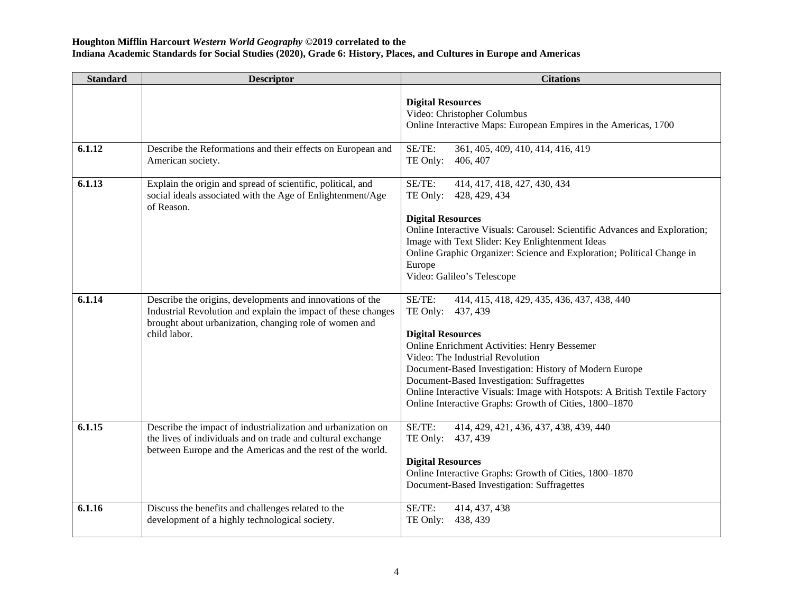| <b>Standard</b> | <b>Descriptor</b>                                                                                                                                                                                    | <b>Citations</b>                                                                                                                                                                                                                                                                                                                                                                                                                                     |
|-----------------|------------------------------------------------------------------------------------------------------------------------------------------------------------------------------------------------------|------------------------------------------------------------------------------------------------------------------------------------------------------------------------------------------------------------------------------------------------------------------------------------------------------------------------------------------------------------------------------------------------------------------------------------------------------|
|                 |                                                                                                                                                                                                      | <b>Digital Resources</b><br>Video: Christopher Columbus<br>Online Interactive Maps: European Empires in the Americas, 1700                                                                                                                                                                                                                                                                                                                           |
| 6.1.12          | Describe the Reformations and their effects on European and<br>American society.                                                                                                                     | SE/TE:<br>361, 405, 409, 410, 414, 416, 419<br>TE Only:<br>406, 407                                                                                                                                                                                                                                                                                                                                                                                  |
| 6.1.13          | Explain the origin and spread of scientific, political, and<br>social ideals associated with the Age of Enlightenment/Age<br>of Reason.                                                              | SE/TE:<br>414, 417, 418, 427, 430, 434<br>TE Only:<br>428, 429, 434<br><b>Digital Resources</b><br>Online Interactive Visuals: Carousel: Scientific Advances and Exploration;<br>Image with Text Slider: Key Enlightenment Ideas<br>Online Graphic Organizer: Science and Exploration; Political Change in<br>Europe<br>Video: Galileo's Telescope                                                                                                   |
| 6.1.14          | Describe the origins, developments and innovations of the<br>Industrial Revolution and explain the impact of these changes<br>brought about urbanization, changing role of women and<br>child labor. | SE/TE:<br>414, 415, 418, 429, 435, 436, 437, 438, 440<br>TE Only:<br>437, 439<br><b>Digital Resources</b><br><b>Online Enrichment Activities: Henry Bessemer</b><br>Video: The Industrial Revolution<br>Document-Based Investigation: History of Modern Europe<br>Document-Based Investigation: Suffragettes<br>Online Interactive Visuals: Image with Hotspots: A British Textile Factory<br>Online Interactive Graphs: Growth of Cities, 1800-1870 |
| 6.1.15          | Describe the impact of industrialization and urbanization on<br>the lives of individuals and on trade and cultural exchange<br>between Europe and the Americas and the rest of the world.            | SE/TE:<br>414, 429, 421, 436, 437, 438, 439, 440<br>TE Only:<br>437, 439<br><b>Digital Resources</b><br>Online Interactive Graphs: Growth of Cities, 1800-1870<br>Document-Based Investigation: Suffragettes                                                                                                                                                                                                                                         |
| 6.1.16          | Discuss the benefits and challenges related to the<br>development of a highly technological society.                                                                                                 | SE/TE:<br>414, 437, 438<br>TE Only:<br>438, 439                                                                                                                                                                                                                                                                                                                                                                                                      |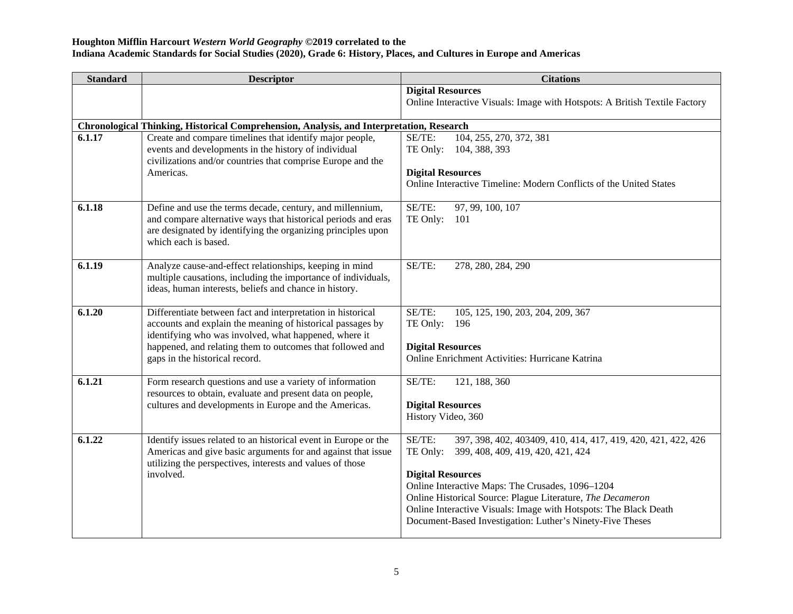| <b>Standard</b> | <b>Descriptor</b>                                                                                                                                    | <b>Citations</b>                                                                                               |
|-----------------|------------------------------------------------------------------------------------------------------------------------------------------------------|----------------------------------------------------------------------------------------------------------------|
|                 |                                                                                                                                                      | <b>Digital Resources</b>                                                                                       |
|                 |                                                                                                                                                      | Online Interactive Visuals: Image with Hotspots: A British Textile Factory                                     |
|                 |                                                                                                                                                      |                                                                                                                |
| 6.1.17          | Chronological Thinking, Historical Comprehension, Analysis, and Interpretation, Research<br>Create and compare timelines that identify major people, | SE/TE:<br>104, 255, 270, 372, 381                                                                              |
|                 | events and developments in the history of individual                                                                                                 | TE Only:<br>104, 388, 393                                                                                      |
|                 | civilizations and/or countries that comprise Europe and the                                                                                          |                                                                                                                |
|                 | Americas.                                                                                                                                            | <b>Digital Resources</b>                                                                                       |
|                 |                                                                                                                                                      | Online Interactive Timeline: Modern Conflicts of the United States                                             |
| 6.1.18          | Define and use the terms decade, century, and millennium,                                                                                            | 97, 99, 100, 107<br>SE/TE:                                                                                     |
|                 | and compare alternative ways that historical periods and eras                                                                                        | TE Only:<br>101                                                                                                |
|                 | are designated by identifying the organizing principles upon                                                                                         |                                                                                                                |
|                 | which each is based.                                                                                                                                 |                                                                                                                |
| 6.1.19          | Analyze cause-and-effect relationships, keeping in mind                                                                                              | SE/TE:<br>278, 280, 284, 290                                                                                   |
|                 | multiple causations, including the importance of individuals,                                                                                        |                                                                                                                |
|                 | ideas, human interests, beliefs and chance in history.                                                                                               |                                                                                                                |
|                 |                                                                                                                                                      |                                                                                                                |
| 6.1.20          | Differentiate between fact and interpretation in historical                                                                                          | SE/TE:<br>105, 125, 190, 203, 204, 209, 367                                                                    |
|                 | accounts and explain the meaning of historical passages by<br>identifying who was involved, what happened, where it                                  | TE Only:<br>196                                                                                                |
|                 | happened, and relating them to outcomes that followed and                                                                                            | <b>Digital Resources</b>                                                                                       |
|                 | gaps in the historical record.                                                                                                                       | Online Enrichment Activities: Hurricane Katrina                                                                |
|                 |                                                                                                                                                      |                                                                                                                |
| 6.1.21          | Form research questions and use a variety of information                                                                                             | SE/TE:<br>121, 188, 360                                                                                        |
|                 | resources to obtain, evaluate and present data on people,                                                                                            |                                                                                                                |
|                 | cultures and developments in Europe and the Americas.                                                                                                | <b>Digital Resources</b><br>History Video, 360                                                                 |
|                 |                                                                                                                                                      |                                                                                                                |
| 6.1.22          | Identify issues related to an historical event in Europe or the                                                                                      | SE/TE:<br>397, 398, 402, 403409, 410, 414, 417, 419, 420, 421, 422, 426                                        |
|                 | Americas and give basic arguments for and against that issue                                                                                         | TE Only:<br>399, 408, 409, 419, 420, 421, 424                                                                  |
|                 | utilizing the perspectives, interests and values of those                                                                                            |                                                                                                                |
|                 | involved.                                                                                                                                            | <b>Digital Resources</b>                                                                                       |
|                 |                                                                                                                                                      | Online Interactive Maps: The Crusades, 1096-1204<br>Online Historical Source: Plague Literature, The Decameron |
|                 |                                                                                                                                                      | Online Interactive Visuals: Image with Hotspots: The Black Death                                               |
|                 |                                                                                                                                                      | Document-Based Investigation: Luther's Ninety-Five Theses                                                      |
|                 |                                                                                                                                                      |                                                                                                                |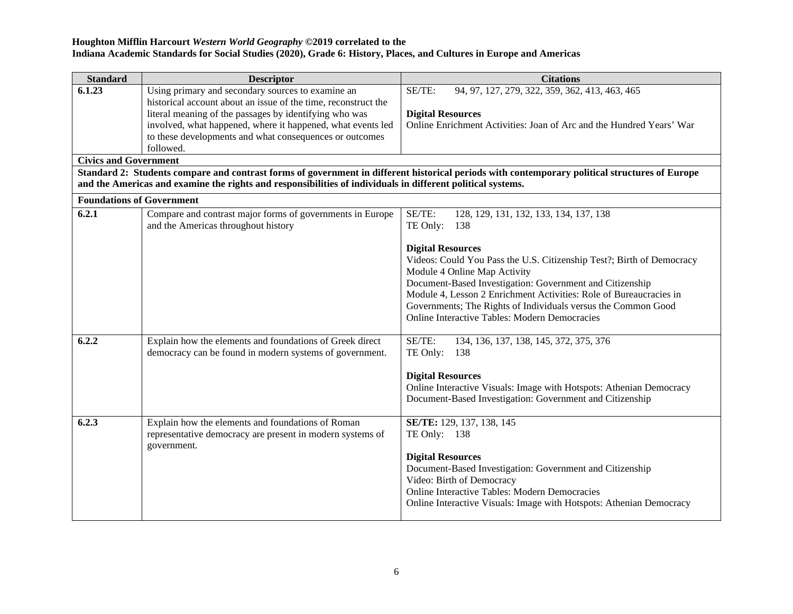| <b>Standard</b>                  | <b>Descriptor</b>                                                                                                             | <b>Citations</b>                                                                                                                                                                                                                                                                                                                                                                                                                                                                                                                                                |
|----------------------------------|-------------------------------------------------------------------------------------------------------------------------------|-----------------------------------------------------------------------------------------------------------------------------------------------------------------------------------------------------------------------------------------------------------------------------------------------------------------------------------------------------------------------------------------------------------------------------------------------------------------------------------------------------------------------------------------------------------------|
| 6.1.23                           | Using primary and secondary sources to examine an                                                                             | SE/TE:<br>94, 97, 127, 279, 322, 359, 362, 413, 463, 465                                                                                                                                                                                                                                                                                                                                                                                                                                                                                                        |
|                                  | historical account about an issue of the time, reconstruct the                                                                |                                                                                                                                                                                                                                                                                                                                                                                                                                                                                                                                                                 |
|                                  | literal meaning of the passages by identifying who was                                                                        | <b>Digital Resources</b>                                                                                                                                                                                                                                                                                                                                                                                                                                                                                                                                        |
|                                  | involved, what happened, where it happened, what events led                                                                   | Online Enrichment Activities: Joan of Arc and the Hundred Years' War                                                                                                                                                                                                                                                                                                                                                                                                                                                                                            |
|                                  | to these developments and what consequences or outcomes<br>followed.                                                          |                                                                                                                                                                                                                                                                                                                                                                                                                                                                                                                                                                 |
| <b>Civics and Government</b>     |                                                                                                                               |                                                                                                                                                                                                                                                                                                                                                                                                                                                                                                                                                                 |
|                                  | and the Americas and examine the rights and responsibilities of individuals in different political systems.                   | Standard 2: Students compare and contrast forms of government in different historical periods with contemporary political structures of Europe                                                                                                                                                                                                                                                                                                                                                                                                                  |
| <b>Foundations of Government</b> |                                                                                                                               |                                                                                                                                                                                                                                                                                                                                                                                                                                                                                                                                                                 |
| 6.2.1                            | Compare and contrast major forms of governments in Europe                                                                     | SE/TE:<br>128, 129, 131, 132, 133, 134, 137, 138                                                                                                                                                                                                                                                                                                                                                                                                                                                                                                                |
|                                  | and the Americas throughout history                                                                                           | TE Only:<br>- 138                                                                                                                                                                                                                                                                                                                                                                                                                                                                                                                                               |
| 6.2.2                            | Explain how the elements and foundations of Greek direct<br>democracy can be found in modern systems of government.           | <b>Digital Resources</b><br>Videos: Could You Pass the U.S. Citizenship Test?; Birth of Democracy<br>Module 4 Online Map Activity<br>Document-Based Investigation: Government and Citizenship<br>Module 4, Lesson 2 Enrichment Activities: Role of Bureaucracies in<br>Governments; The Rights of Individuals versus the Common Good<br>Online Interactive Tables: Modern Democracies<br>SE/TE:<br>134, 136, 137, 138, 145, 372, 375, 376<br>TE Only:<br>138<br><b>Digital Resources</b><br>Online Interactive Visuals: Image with Hotspots: Athenian Democracy |
|                                  |                                                                                                                               | Document-Based Investigation: Government and Citizenship                                                                                                                                                                                                                                                                                                                                                                                                                                                                                                        |
| 6.2.3                            | Explain how the elements and foundations of Roman<br>representative democracy are present in modern systems of<br>government. | SE/TE: 129, 137, 138, 145<br>TE Only: 138<br><b>Digital Resources</b><br>Document-Based Investigation: Government and Citizenship<br>Video: Birth of Democracy<br>Online Interactive Tables: Modern Democracies<br>Online Interactive Visuals: Image with Hotspots: Athenian Democracy                                                                                                                                                                                                                                                                          |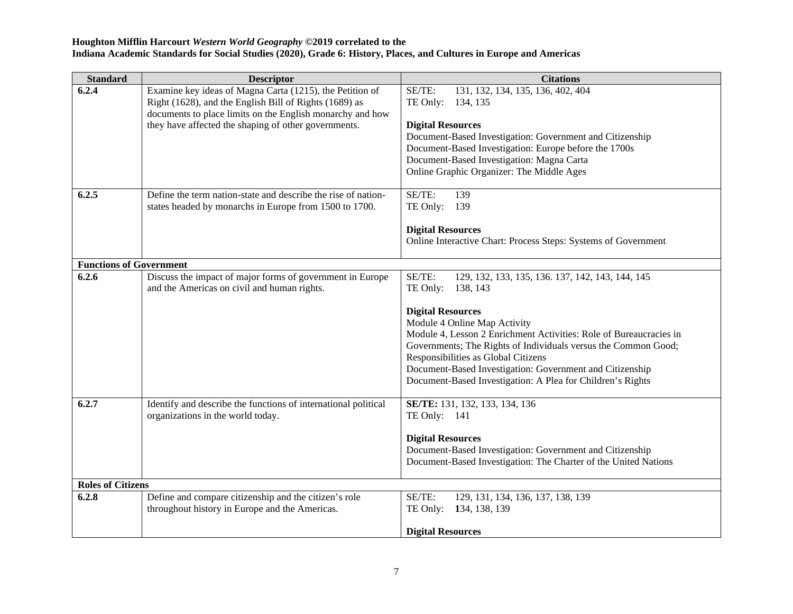| <b>Standard</b>                | <b>Descriptor</b>                                                                                                                                                                                                                       | <b>Citations</b>                                                                                                                                                                                                                                                                                                                                                                                                                                        |
|--------------------------------|-----------------------------------------------------------------------------------------------------------------------------------------------------------------------------------------------------------------------------------------|---------------------------------------------------------------------------------------------------------------------------------------------------------------------------------------------------------------------------------------------------------------------------------------------------------------------------------------------------------------------------------------------------------------------------------------------------------|
| 6.2.4                          | Examine key ideas of Magna Carta (1215), the Petition of<br>Right (1628), and the English Bill of Rights (1689) as<br>documents to place limits on the English monarchy and how<br>they have affected the shaping of other governments. | SE/TE:<br>131, 132, 134, 135, 136, 402, 404<br>TE Only:<br>134, 135<br><b>Digital Resources</b><br>Document-Based Investigation: Government and Citizenship<br>Document-Based Investigation: Europe before the 1700s<br>Document-Based Investigation: Magna Carta<br>Online Graphic Organizer: The Middle Ages                                                                                                                                          |
| 6.2.5                          | Define the term nation-state and describe the rise of nation-<br>states headed by monarchs in Europe from 1500 to 1700.                                                                                                                 | SE/TE:<br>139<br>TE Only:<br>139<br><b>Digital Resources</b><br>Online Interactive Chart: Process Steps: Systems of Government                                                                                                                                                                                                                                                                                                                          |
| <b>Functions of Government</b> |                                                                                                                                                                                                                                         |                                                                                                                                                                                                                                                                                                                                                                                                                                                         |
| 6.2.6                          | Discuss the impact of major forms of government in Europe<br>and the Americas on civil and human rights.                                                                                                                                | SE/TE:<br>129, 132, 133, 135, 136. 137, 142, 143, 144, 145<br>TE Only:<br>138, 143<br><b>Digital Resources</b><br>Module 4 Online Map Activity<br>Module 4, Lesson 2 Enrichment Activities: Role of Bureaucracies in<br>Governments; The Rights of Individuals versus the Common Good;<br>Responsibilities as Global Citizens<br>Document-Based Investigation: Government and Citizenship<br>Document-Based Investigation: A Plea for Children's Rights |
| 6.2.7                          | Identify and describe the functions of international political<br>organizations in the world today.                                                                                                                                     | SE/TE: 131, 132, 133, 134, 136<br>TE Only: 141<br><b>Digital Resources</b><br>Document-Based Investigation: Government and Citizenship<br>Document-Based Investigation: The Charter of the United Nations                                                                                                                                                                                                                                               |
| <b>Roles of Citizens</b>       |                                                                                                                                                                                                                                         |                                                                                                                                                                                                                                                                                                                                                                                                                                                         |
| 6.2.8                          | Define and compare citizenship and the citizen's role<br>throughout history in Europe and the Americas.                                                                                                                                 | SE/TE:<br>129, 131, 134, 136, 137, 138, 139<br>134, 138, 139<br>TE Only:<br><b>Digital Resources</b>                                                                                                                                                                                                                                                                                                                                                    |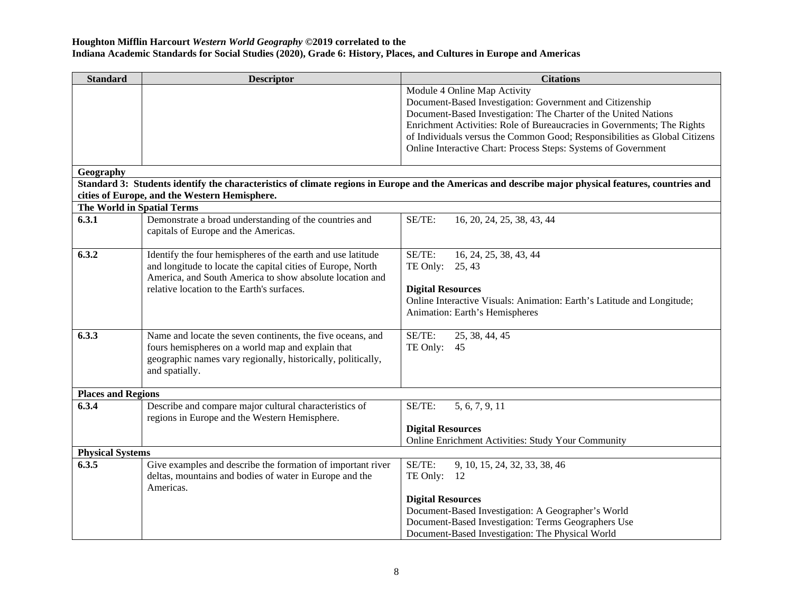| <b>Standard</b>            | <b>Descriptor</b>                                            | <b>Citations</b>                                                                                                                                    |
|----------------------------|--------------------------------------------------------------|-----------------------------------------------------------------------------------------------------------------------------------------------------|
|                            |                                                              | Module 4 Online Map Activity                                                                                                                        |
|                            |                                                              | Document-Based Investigation: Government and Citizenship                                                                                            |
|                            |                                                              | Document-Based Investigation: The Charter of the United Nations                                                                                     |
|                            |                                                              | Enrichment Activities: Role of Bureaucracies in Governments; The Rights                                                                             |
|                            |                                                              | of Individuals versus the Common Good; Responsibilities as Global Citizens                                                                          |
|                            |                                                              | Online Interactive Chart: Process Steps: Systems of Government                                                                                      |
|                            |                                                              |                                                                                                                                                     |
| Geography                  |                                                              |                                                                                                                                                     |
|                            |                                                              | Standard 3: Students identify the characteristics of climate regions in Europe and the Americas and describe major physical features, countries and |
|                            | cities of Europe, and the Western Hemisphere.                |                                                                                                                                                     |
| The World in Spatial Terms |                                                              |                                                                                                                                                     |
| 6.3.1                      | Demonstrate a broad understanding of the countries and       | SE/TE:<br>16, 20, 24, 25, 38, 43, 44                                                                                                                |
|                            | capitals of Europe and the Americas.                         |                                                                                                                                                     |
|                            |                                                              |                                                                                                                                                     |
| 6.3.2                      | Identify the four hemispheres of the earth and use latitude  | SE/TE:<br>16, 24, 25, 38, 43, 44                                                                                                                    |
|                            | and longitude to locate the capital cities of Europe, North  | TE Only: 25, 43                                                                                                                                     |
|                            | America, and South America to show absolute location and     |                                                                                                                                                     |
|                            | relative location to the Earth's surfaces.                   | <b>Digital Resources</b>                                                                                                                            |
|                            |                                                              | Online Interactive Visuals: Animation: Earth's Latitude and Longitude;                                                                              |
|                            |                                                              | Animation: Earth's Hemispheres                                                                                                                      |
|                            |                                                              |                                                                                                                                                     |
| 6.3.3                      | Name and locate the seven continents, the five oceans, and   | SE/TE:<br>25, 38, 44, 45                                                                                                                            |
|                            | fours hemispheres on a world map and explain that            | TE Only: 45                                                                                                                                         |
|                            | geographic names vary regionally, historically, politically, |                                                                                                                                                     |
|                            | and spatially.                                               |                                                                                                                                                     |
|                            |                                                              |                                                                                                                                                     |
| <b>Places and Regions</b>  |                                                              |                                                                                                                                                     |
| 6.3.4                      | Describe and compare major cultural characteristics of       | 5, 6, 7, 9, 11<br>SE/TE:                                                                                                                            |
|                            | regions in Europe and the Western Hemisphere.                |                                                                                                                                                     |
|                            |                                                              | <b>Digital Resources</b>                                                                                                                            |
|                            |                                                              | Online Enrichment Activities: Study Your Community                                                                                                  |
| <b>Physical Systems</b>    |                                                              |                                                                                                                                                     |
| 6.3.5                      | Give examples and describe the formation of important river  | SE/TE:<br>9, 10, 15, 24, 32, 33, 38, 46                                                                                                             |
|                            | deltas, mountains and bodies of water in Europe and the      | TE Only:<br>- 12                                                                                                                                    |
|                            | Americas.                                                    |                                                                                                                                                     |
|                            |                                                              | <b>Digital Resources</b>                                                                                                                            |
|                            |                                                              | Document-Based Investigation: A Geographer's World                                                                                                  |
|                            |                                                              | Document-Based Investigation: Terms Geographers Use                                                                                                 |
|                            |                                                              | Document-Based Investigation: The Physical World                                                                                                    |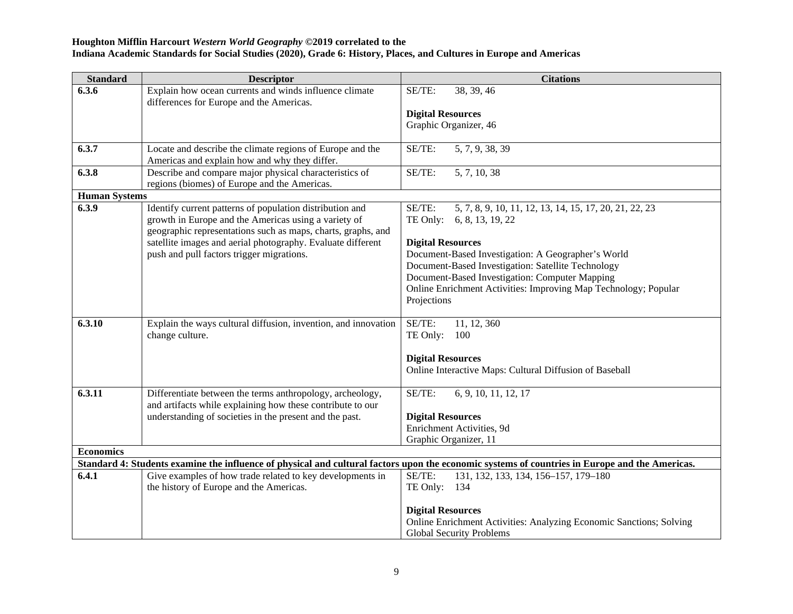| <b>Standard</b>      | <b>Descriptor</b>                                                                                                                                                                                                                               | <b>Citations</b>                                                                                                                               |
|----------------------|-------------------------------------------------------------------------------------------------------------------------------------------------------------------------------------------------------------------------------------------------|------------------------------------------------------------------------------------------------------------------------------------------------|
| 6.3.6                | Explain how ocean currents and winds influence climate<br>differences for Europe and the Americas.                                                                                                                                              | 38, 39, 46<br>SE/TE:                                                                                                                           |
|                      |                                                                                                                                                                                                                                                 | <b>Digital Resources</b>                                                                                                                       |
|                      |                                                                                                                                                                                                                                                 | Graphic Organizer, 46                                                                                                                          |
| 6.3.7                | Locate and describe the climate regions of Europe and the<br>Americas and explain how and why they differ.                                                                                                                                      | SE/TE:<br>5, 7, 9, 38, 39                                                                                                                      |
| 6.3.8                | Describe and compare major physical characteristics of<br>regions (biomes) of Europe and the Americas.                                                                                                                                          | 5, 7, 10, 38<br>SE/TE:                                                                                                                         |
| <b>Human Systems</b> |                                                                                                                                                                                                                                                 |                                                                                                                                                |
| 6.3.9                | Identify current patterns of population distribution and<br>growth in Europe and the Americas using a variety of<br>geographic representations such as maps, charts, graphs, and<br>satellite images and aerial photography. Evaluate different | SE/TE:<br>5, 7, 8, 9, 10, 11, 12, 13, 14, 15, 17, 20, 21, 22, 23<br>TE Only: 6, 8, 13, 19, 22<br><b>Digital Resources</b>                      |
|                      | push and pull factors trigger migrations.                                                                                                                                                                                                       | Document-Based Investigation: A Geographer's World                                                                                             |
|                      |                                                                                                                                                                                                                                                 | Document-Based Investigation: Satellite Technology                                                                                             |
|                      |                                                                                                                                                                                                                                                 | Document-Based Investigation: Computer Mapping                                                                                                 |
|                      |                                                                                                                                                                                                                                                 | Online Enrichment Activities: Improving Map Technology; Popular                                                                                |
|                      |                                                                                                                                                                                                                                                 | Projections                                                                                                                                    |
| 6.3.10               | Explain the ways cultural diffusion, invention, and innovation                                                                                                                                                                                  | SE/TE:<br>11, 12, 360                                                                                                                          |
|                      | change culture.                                                                                                                                                                                                                                 | TE Only:<br>100                                                                                                                                |
|                      |                                                                                                                                                                                                                                                 | <b>Digital Resources</b>                                                                                                                       |
|                      |                                                                                                                                                                                                                                                 | Online Interactive Maps: Cultural Diffusion of Baseball                                                                                        |
| 6.3.11               | Differentiate between the terms anthropology, archeology,                                                                                                                                                                                       | SE/TE:<br>6, 9, 10, 11, 12, 17                                                                                                                 |
|                      | and artifacts while explaining how these contribute to our                                                                                                                                                                                      |                                                                                                                                                |
|                      | understanding of societies in the present and the past.                                                                                                                                                                                         | <b>Digital Resources</b>                                                                                                                       |
|                      |                                                                                                                                                                                                                                                 | Enrichment Activities, 9d                                                                                                                      |
|                      |                                                                                                                                                                                                                                                 | Graphic Organizer, 11                                                                                                                          |
| <b>Economics</b>     |                                                                                                                                                                                                                                                 |                                                                                                                                                |
|                      |                                                                                                                                                                                                                                                 | Standard 4: Students examine the influence of physical and cultural factors upon the economic systems of countries in Europe and the Americas. |
| 6.4.1                | Give examples of how trade related to key developments in                                                                                                                                                                                       | SE/TE:<br>131, 132, 133, 134, 156-157, 179-180                                                                                                 |
|                      | the history of Europe and the Americas.                                                                                                                                                                                                         | TE Only: 134                                                                                                                                   |
|                      |                                                                                                                                                                                                                                                 | <b>Digital Resources</b>                                                                                                                       |
|                      |                                                                                                                                                                                                                                                 | Online Enrichment Activities: Analyzing Economic Sanctions; Solving                                                                            |
|                      |                                                                                                                                                                                                                                                 | <b>Global Security Problems</b>                                                                                                                |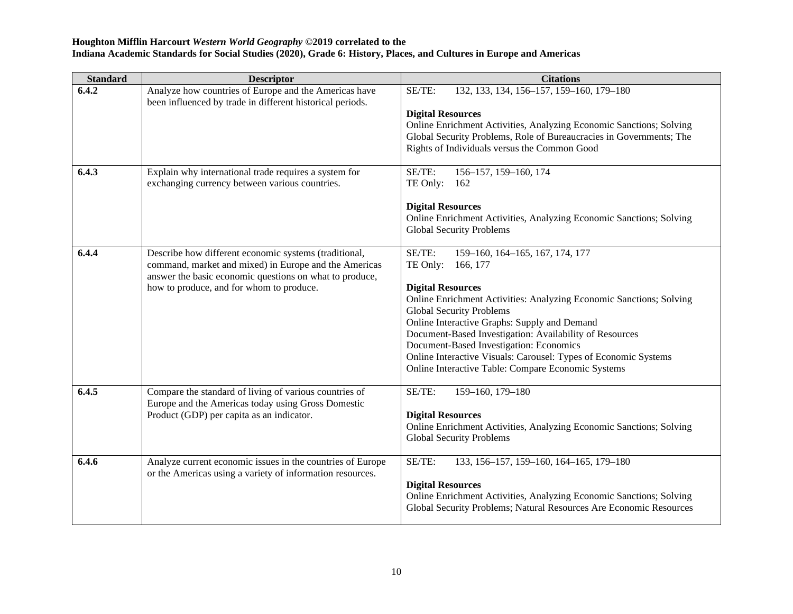| <b>Standard</b> | <b>Descriptor</b>                                                                                                                                                                                                     | <b>Citations</b>                                                                                                                                                                                                                                                                                                                                                                                                                                                                       |
|-----------------|-----------------------------------------------------------------------------------------------------------------------------------------------------------------------------------------------------------------------|----------------------------------------------------------------------------------------------------------------------------------------------------------------------------------------------------------------------------------------------------------------------------------------------------------------------------------------------------------------------------------------------------------------------------------------------------------------------------------------|
| 6.4.2           | Analyze how countries of Europe and the Americas have<br>been influenced by trade in different historical periods.                                                                                                    | 132, 133, 134, 156-157, 159-160, 179-180<br>SE/TE:<br><b>Digital Resources</b><br>Online Enrichment Activities, Analyzing Economic Sanctions; Solving                                                                                                                                                                                                                                                                                                                                  |
|                 |                                                                                                                                                                                                                       | Global Security Problems, Role of Bureaucracies in Governments; The<br>Rights of Individuals versus the Common Good                                                                                                                                                                                                                                                                                                                                                                    |
| 6.4.3           | Explain why international trade requires a system for<br>exchanging currency between various countries.                                                                                                               | SE/TE:<br>156-157, 159-160, 174<br>TE Only:<br>162<br><b>Digital Resources</b><br>Online Enrichment Activities, Analyzing Economic Sanctions; Solving                                                                                                                                                                                                                                                                                                                                  |
|                 |                                                                                                                                                                                                                       | <b>Global Security Problems</b>                                                                                                                                                                                                                                                                                                                                                                                                                                                        |
| 6.4.4           | Describe how different economic systems (traditional,<br>command, market and mixed) in Europe and the Americas<br>answer the basic economic questions on what to produce,<br>how to produce, and for whom to produce. | SE/TE:<br>159-160, 164-165, 167, 174, 177<br>TE Only:<br>166, 177<br><b>Digital Resources</b><br>Online Enrichment Activities: Analyzing Economic Sanctions; Solving<br><b>Global Security Problems</b><br>Online Interactive Graphs: Supply and Demand<br>Document-Based Investigation: Availability of Resources<br>Document-Based Investigation: Economics<br>Online Interactive Visuals: Carousel: Types of Economic Systems<br>Online Interactive Table: Compare Economic Systems |
| 6.4.5           | Compare the standard of living of various countries of<br>Europe and the Americas today using Gross Domestic<br>Product (GDP) per capita as an indicator.                                                             | 159-160, 179-180<br>SE/TE:<br><b>Digital Resources</b><br>Online Enrichment Activities, Analyzing Economic Sanctions; Solving<br><b>Global Security Problems</b>                                                                                                                                                                                                                                                                                                                       |
| 6.4.6           | Analyze current economic issues in the countries of Europe<br>or the Americas using a variety of information resources.                                                                                               | SE/TE:<br>133, 156-157, 159-160, 164-165, 179-180<br><b>Digital Resources</b><br>Online Enrichment Activities, Analyzing Economic Sanctions; Solving<br>Global Security Problems; Natural Resources Are Economic Resources                                                                                                                                                                                                                                                             |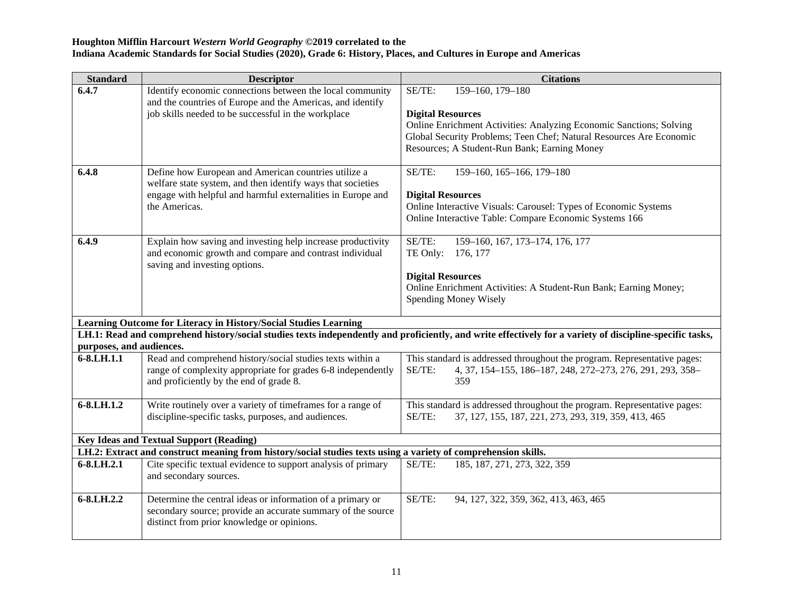| <b>Standard</b>          | <b>Descriptor</b>                                                                                              | <b>Citations</b>                                                                                                                                         |
|--------------------------|----------------------------------------------------------------------------------------------------------------|----------------------------------------------------------------------------------------------------------------------------------------------------------|
| 6.4.7                    | Identify economic connections between the local community                                                      | 159-160, 179-180<br>SE/TE:                                                                                                                               |
|                          | and the countries of Europe and the Americas, and identify                                                     |                                                                                                                                                          |
|                          | job skills needed to be successful in the workplace                                                            | <b>Digital Resources</b><br>Online Enrichment Activities: Analyzing Economic Sanctions; Solving                                                          |
|                          |                                                                                                                | Global Security Problems; Teen Chef; Natural Resources Are Economic                                                                                      |
|                          |                                                                                                                | Resources; A Student-Run Bank; Earning Money                                                                                                             |
|                          |                                                                                                                |                                                                                                                                                          |
| 6.4.8                    | Define how European and American countries utilize a                                                           | SE/TE:<br>159-160, 165-166, 179-180                                                                                                                      |
|                          | welfare state system, and then identify ways that societies                                                    |                                                                                                                                                          |
|                          | engage with helpful and harmful externalities in Europe and                                                    | <b>Digital Resources</b>                                                                                                                                 |
|                          | the Americas.                                                                                                  | Online Interactive Visuals: Carousel: Types of Economic Systems                                                                                          |
|                          |                                                                                                                | Online Interactive Table: Compare Economic Systems 166                                                                                                   |
| 6.4.9                    | Explain how saving and investing help increase productivity                                                    | SE/TE:<br>159-160, 167, 173-174, 176, 177                                                                                                                |
|                          | and economic growth and compare and contrast individual                                                        | TE Only:<br>176, 177                                                                                                                                     |
|                          | saving and investing options.                                                                                  |                                                                                                                                                          |
|                          |                                                                                                                | <b>Digital Resources</b>                                                                                                                                 |
|                          |                                                                                                                | Online Enrichment Activities: A Student-Run Bank; Earning Money;                                                                                         |
|                          |                                                                                                                | Spending Money Wisely                                                                                                                                    |
|                          | Learning Outcome for Literacy in History/Social Studies Learning                                               |                                                                                                                                                          |
|                          |                                                                                                                | LH.1: Read and comprehend history/social studies texts independently and proficiently, and write effectively for a variety of discipline-specific tasks, |
| purposes, and audiences. |                                                                                                                |                                                                                                                                                          |
| 6-8.LH.1.1               | Read and comprehend history/social studies texts within a                                                      | This standard is addressed throughout the program. Representative pages:                                                                                 |
|                          | range of complexity appropriate for grades 6-8 independently                                                   | SE/TE:<br>4, 37, 154-155, 186-187, 248, 272-273, 276, 291, 293, 358-                                                                                     |
|                          | and proficiently by the end of grade 8.                                                                        | 359                                                                                                                                                      |
| 6-8.LH.1.2               | Write routinely over a variety of timeframes for a range of                                                    | This standard is addressed throughout the program. Representative pages:                                                                                 |
|                          | discipline-specific tasks, purposes, and audiences.                                                            | SE/TE:<br>37, 127, 155, 187, 221, 273, 293, 319, 359, 413, 465                                                                                           |
|                          |                                                                                                                |                                                                                                                                                          |
|                          | <b>Key Ideas and Textual Support (Reading)</b>                                                                 |                                                                                                                                                          |
|                          | LH.2: Extract and construct meaning from history/social studies texts using a variety of comprehension skills. |                                                                                                                                                          |
| 6-8.LH.2.1               | Cite specific textual evidence to support analysis of primary                                                  | SE/TE:<br>185, 187, 271, 273, 322, 359                                                                                                                   |
|                          | and secondary sources.                                                                                         |                                                                                                                                                          |
| 6-8.LH.2.2               | Determine the central ideas or information of a primary or                                                     | SE/TE:<br>94, 127, 322, 359, 362, 413, 463, 465                                                                                                          |
|                          | secondary source; provide an accurate summary of the source                                                    |                                                                                                                                                          |
|                          | distinct from prior knowledge or opinions.                                                                     |                                                                                                                                                          |
|                          |                                                                                                                |                                                                                                                                                          |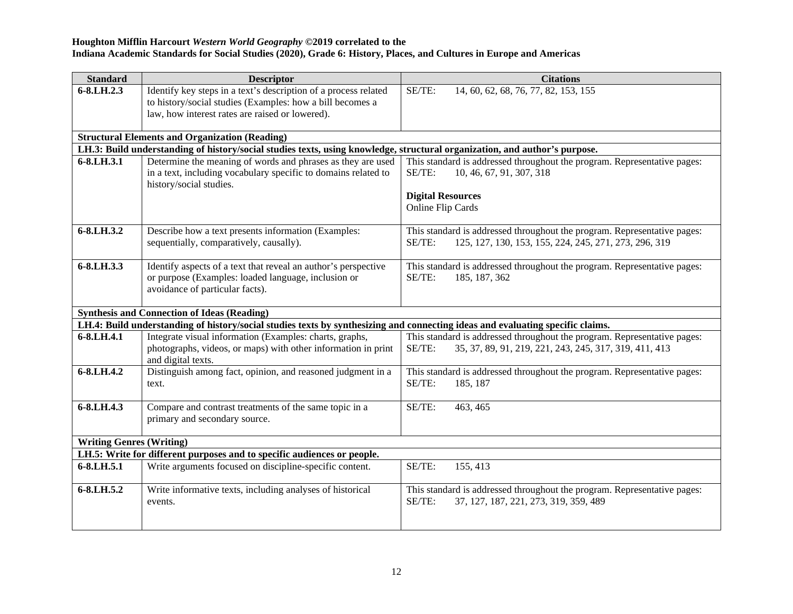| <b>Standard</b>                 | <b>Descriptor</b>                                                                                                              | <b>Citations</b>                                                         |
|---------------------------------|--------------------------------------------------------------------------------------------------------------------------------|--------------------------------------------------------------------------|
| $6 - 8$ .LH.2.3                 | Identify key steps in a text's description of a process related                                                                | SE/TE:<br>14, 60, 62, 68, 76, 77, 82, 153, 155                           |
|                                 | to history/social studies (Examples: how a bill becomes a                                                                      |                                                                          |
|                                 | law, how interest rates are raised or lowered).                                                                                |                                                                          |
|                                 | <b>Structural Elements and Organization (Reading)</b>                                                                          |                                                                          |
|                                 | LH.3: Build understanding of history/social studies texts, using knowledge, structural organization, and author's purpose.     |                                                                          |
| 6-8.LH.3.1                      | Determine the meaning of words and phrases as they are used                                                                    | This standard is addressed throughout the program. Representative pages: |
|                                 | in a text, including vocabulary specific to domains related to                                                                 | 10, 46, 67, 91, 307, 318<br>SE/TE:                                       |
|                                 | history/social studies.                                                                                                        |                                                                          |
|                                 |                                                                                                                                | <b>Digital Resources</b>                                                 |
|                                 |                                                                                                                                | Online Flip Cards                                                        |
| 6-8.LH.3.2                      | Describe how a text presents information (Examples:                                                                            | This standard is addressed throughout the program. Representative pages: |
|                                 | sequentially, comparatively, causally).                                                                                        | 125, 127, 130, 153, 155, 224, 245, 271, 273, 296, 319<br>SE/TE:          |
|                                 |                                                                                                                                |                                                                          |
| 6-8.LH.3.3                      | Identify aspects of a text that reveal an author's perspective                                                                 | This standard is addressed throughout the program. Representative pages: |
|                                 | or purpose (Examples: loaded language, inclusion or                                                                            | SE/TE:<br>185, 187, 362                                                  |
|                                 | avoidance of particular facts).                                                                                                |                                                                          |
|                                 | <b>Synthesis and Connection of Ideas (Reading)</b>                                                                             |                                                                          |
|                                 | LH.4: Build understanding of history/social studies texts by synthesizing and connecting ideas and evaluating specific claims. |                                                                          |
| 6-8.LH.4.1                      | Integrate visual information (Examples: charts, graphs,                                                                        | This standard is addressed throughout the program. Representative pages: |
|                                 | photographs, videos, or maps) with other information in print                                                                  | SE/TE:<br>35, 37, 89, 91, 219, 221, 243, 245, 317, 319, 411, 413         |
|                                 | and digital texts.                                                                                                             |                                                                          |
| 6-8.LH.4.2                      | Distinguish among fact, opinion, and reasoned judgment in a                                                                    | This standard is addressed throughout the program. Representative pages: |
|                                 | text.                                                                                                                          | SE/TE:<br>185, 187                                                       |
|                                 |                                                                                                                                |                                                                          |
| 6-8.LH.4.3                      | Compare and contrast treatments of the same topic in a                                                                         | SE/TE:<br>463, 465                                                       |
|                                 | primary and secondary source.                                                                                                  |                                                                          |
| <b>Writing Genres (Writing)</b> |                                                                                                                                |                                                                          |
|                                 | LH.5: Write for different purposes and to specific audiences or people.                                                        |                                                                          |
| 6-8.LH.5.1                      | Write arguments focused on discipline-specific content.                                                                        | SE/TE:<br>155, 413                                                       |
|                                 |                                                                                                                                |                                                                          |
| 6-8.LH.5.2                      | Write informative texts, including analyses of historical                                                                      | This standard is addressed throughout the program. Representative pages: |
|                                 | events.                                                                                                                        | SE/TE:<br>37, 127, 187, 221, 273, 319, 359, 489                          |
|                                 |                                                                                                                                |                                                                          |